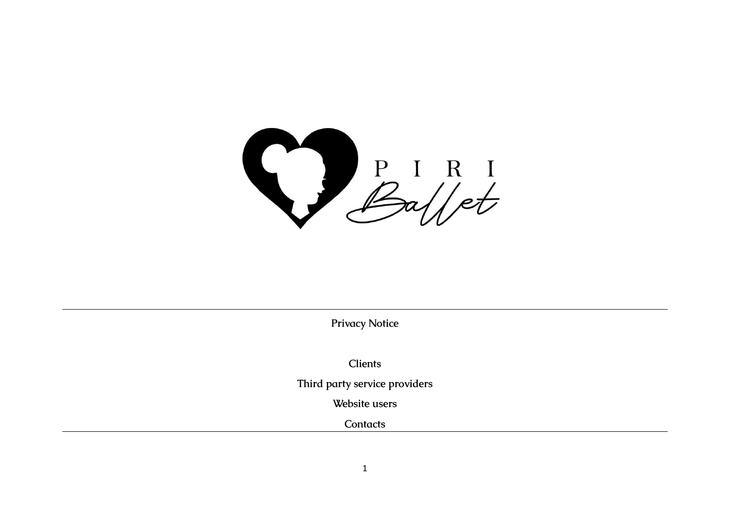

**Privacy Notice**

**Clients**

**Third party service providers**

**Website users**

**Contacts**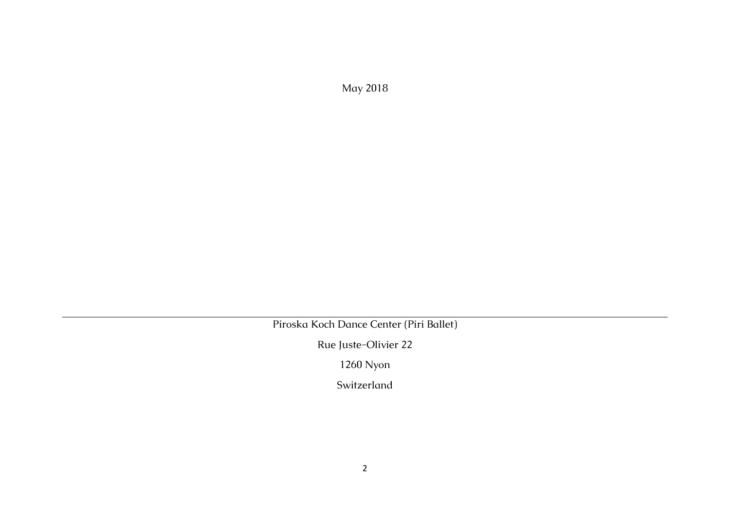May 2018

Piroska Koch Dance Center (Piri Ballet)

Rue Juste-Olivier 22

1260 Nyon

Switzerland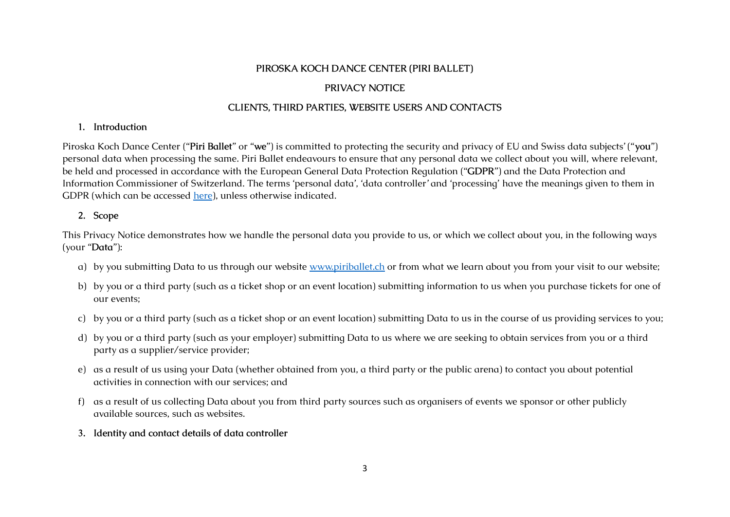#### **PIROSKA KOCH DANCE CENTER (PIRI BALLET)**

## **PRIVACY NOTICE**

## **CLIENTS, THIRD PARTIES, WEBSITE USERS AND CONTACTS**

#### **1. Introduction**

Piroska Koch Dance Center ("**Piri Ballet**" or "**we**") is committed to protecting the security and privacy of EU and Swiss data subjects' ("**you**") personal data when processing the same. Piri Ballet endeavours to ensure that any personal data we collect about you will, where relevant, be held and processed in accordance with the European General Data Protection Regulation ("**GDPR**") and the Data Protection and Information Commissioner of Switzerland. The terms 'personal data', 'data controller' and 'processing' have the meanings given to them in GDPR (which can be accessed [here](http://eur-lex.europa.eu/legal-content/en/TXT/?uri=CELEX%3A32016R0679)), unless otherwise indicated.

### **2. Scope**

This Privacy Notice demonstrates how we handle the personal data you provide to us, or which we collect about you, in the following ways (your "**Data**"):

- a) by you submitting Data to us through our website [www.piriballet.ch](http://www.piriballet.ch) or from what we learn about you from your visit to our website;
- b) by you or a third party (such as a ticket shop or an event location) submitting information to us when you purchase tickets for one of our events;
- c) by you or a third party (such as a ticket shop or an event location) submitting Data to us in the course of us providing services to you;
- d) by you or a third party (such as your employer) submitting Data to us where we are seeking to obtain services from you or a third party as a supplier/service provider;
- e) as a result of us using your Data (whether obtained from you, a third party or the public arena) to contact you about potential activities in connection with our services; and
- f) as a result of us collecting Data about you from third party sources such as organisers of events we sponsor or other publicly available sources, such as websites.
- **3. Identity and contact details of data controller**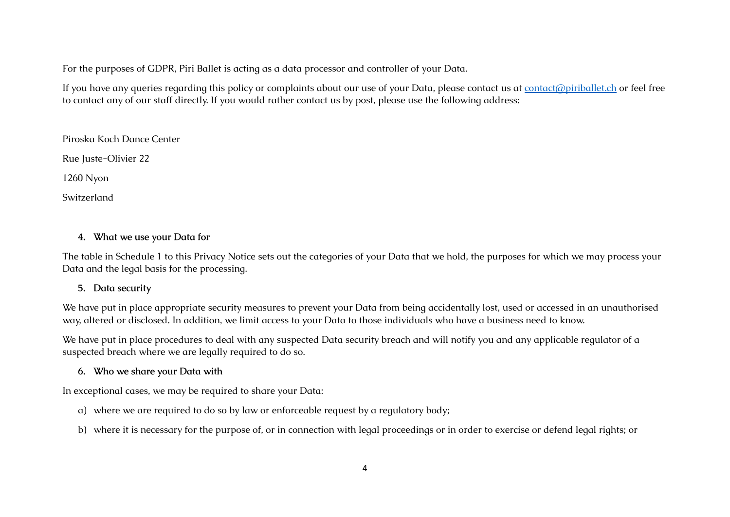For the purposes of GDPR, Piri Ballet is acting as a data processor and controller of your Data.

If you have any queries regarding this policy or complaints about our use of your Data, please contact us at [contact@piriballet.ch](mailto:contact@piriballet.ch) or feel free to contact any of our staff directly. If you would rather contact us by post, please use the following address:

Piroska Koch Dance Center

Rue Juste-Olivier 22

1260 Nyon

Switzerland

## **4. What we use your Data for**

The table in Schedule 1 to this Privacy Notice sets out the categories of your Data that we hold, the purposes for which we may process your Data and the legal basis for the processing.

### **5. Data security**

We have put in place appropriate security measures to prevent your Data from being accidentally lost, used or accessed in an unauthorised way, altered or disclosed. In addition, we limit access to your Data to those individuals who have a business need to know.

We have put in place procedures to deal with any suspected Data security breach and will notify you and any applicable regulator of a suspected breach where we are legally required to do so.

## **6. Who we share your Data with**

In exceptional cases, we may be required to share your Data:

- a) where we are required to do so by law or enforceable request by a regulatory body;
- b) where it is necessary for the purpose of, or in connection with legal proceedings or in order to exercise or defend legal rights; or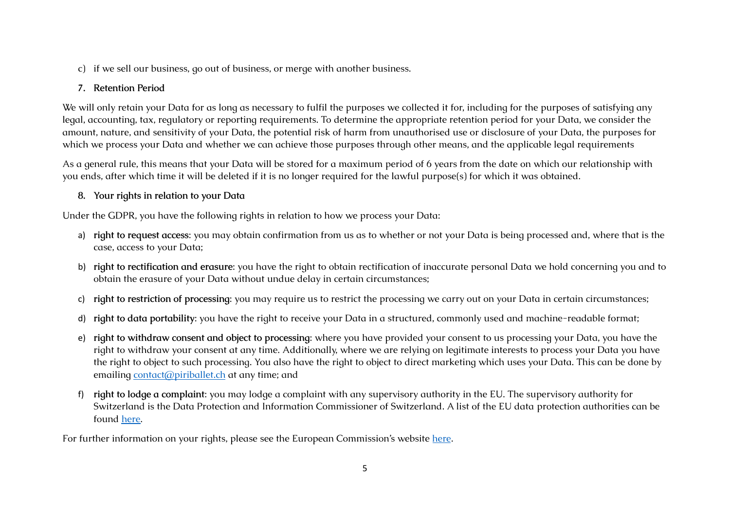c) if we sell our business, go out of business, or merge with another business.

## **7. Retention Period**

We will only retain your Data for as long as necessary to fulfil the purposes we collected it for, including for the purposes of satisfying any legal, accounting, tax, regulatory or reporting requirements. To determine the appropriate retention period for your Data, we consider the amount, nature, and sensitivity of your Data, the potential risk of harm from unauthorised use or disclosure of your Data, the purposes for which we process your Data and whether we can achieve those purposes through other means, and the applicable legal requirements

As a general rule, this means that your Data will be stored for a maximum period of 6 years from the date on which our relationship with you ends, after which time it will be deleted if it is no longer required for the lawful purpose(s) for which it was obtained.

## **8. Your rights in relation to your Data**

Under the GDPR, you have the following rights in relation to how we process your Data:

- a) **right to request access**: you may obtain confirmation from us as to whether or not your Data is being processed and, where that is the case, access to your Data;
- b) **right to rectification and erasure**: you have the right to obtain rectification of inaccurate personal Data we hold concerning you and to obtain the erasure of your Data without undue delay in certain circumstances;
- c) **right to restriction of processing**: you may require us to restrict the processing we carry out on your Data in certain circumstances;
- d) **right to data portability**: you have the right to receive your Data in a structured, commonly used and machine-readable format;
- e) **right to withdraw consent and object to processing**: where you have provided your consent to us processing your Data, you have the right to withdraw your consent at any time. Additionally, where we are relying on legitimate interests to process your Data you have the right to object to such processing. You also have the right to object to direct marketing which uses your Data. This can be done by emailing [contact@piriballet.ch](mailto:contact@piriballet.ch) at any time; and
- f) **right to lodge a complaint**: you may lodge a complaint with any supervisory authority in the EU. The supervisory authority for Switzerland is the Data Protection and Information Commissioner of Switzerland. A list of the EU data protection authorities can be found [here.](http://ec.europa.eu/newsroom/article29/item-detail.cfm?item_id=612080)

For further information on your rights, please see the European Commission's website [here](https://ec.europa.eu/info/law/law-topic/data-protection_en).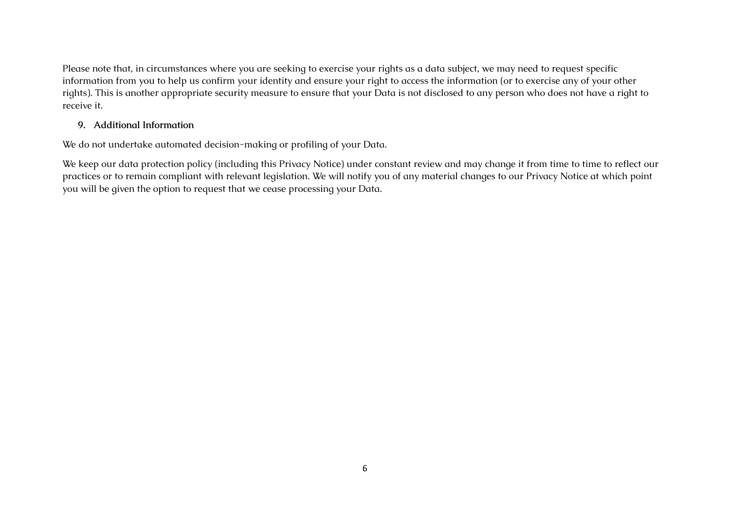Please note that, in circumstances where you are seeking to exercise your rights as a data subject, we may need to request specific information from you to help us confirm your identity and ensure your right to access the information (or to exercise any of your other rights). This is another appropriate security measure to ensure that your Data is not disclosed to any person who does not have a right to receive it.

#### **9. Additional Information**

We do not undertake automated decision-making or profiling of your Data.

We keep our data protection policy (including this Privacy Notice) under constant review and may change it from time to time to reflect our practices or to remain compliant with relevant legislation. We will notify you of any material changes to our Privacy Notice at which point you will be given the option to request that we cease processing your Data.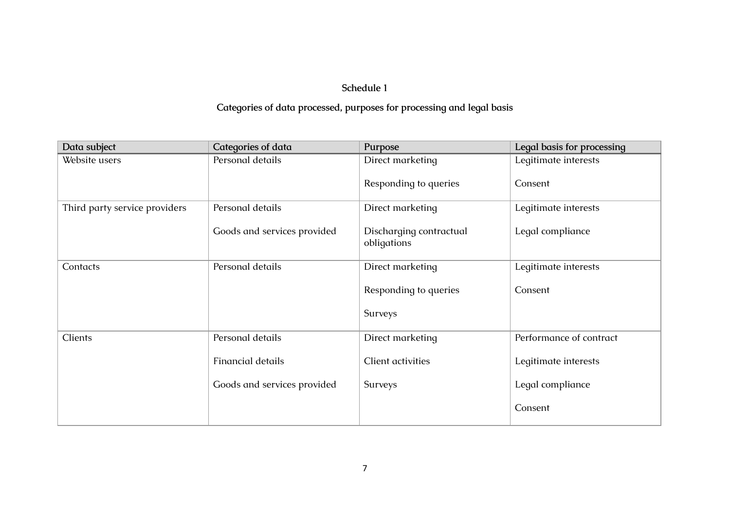# **Schedule 1**

# **Categories of data processed, purposes for processing and legal basis**

| Data subject                  | Categories of data          | Purpose                                | Legal basis for processing |
|-------------------------------|-----------------------------|----------------------------------------|----------------------------|
| Website users                 | Personal details            | Direct marketing                       | Legitimate interests       |
|                               |                             | Responding to queries                  | Consent                    |
| Third party service providers | Personal details            | Direct marketing                       | Legitimate interests       |
|                               | Goods and services provided | Discharging contractual<br>obligations | Legal compliance           |
| Contacts                      | Personal details            | Direct marketing                       | Legitimate interests       |
|                               |                             | Responding to queries                  | Consent                    |
|                               |                             | Surveys                                |                            |
| Clients                       | Personal details            | Direct marketing                       | Performance of contract    |
|                               | <b>Financial details</b>    | Client activities                      | Legitimate interests       |
|                               | Goods and services provided | Surveys                                | Legal compliance           |
|                               |                             |                                        | Consent                    |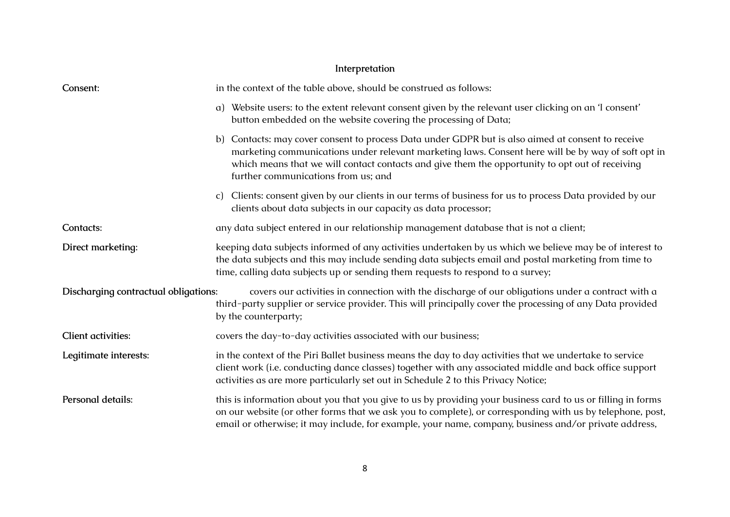# **Interpretation**

| Consent:                             | in the context of the table above, should be construed as follows:                                                                                                                                                                                                                                                                                |  |  |
|--------------------------------------|---------------------------------------------------------------------------------------------------------------------------------------------------------------------------------------------------------------------------------------------------------------------------------------------------------------------------------------------------|--|--|
|                                      | a) Website users: to the extent relevant consent given by the relevant user clicking on an 'I consent'<br>button embedded on the website covering the processing of Data;                                                                                                                                                                         |  |  |
|                                      | b) Contacts: may cover consent to process Data under GDPR but is also aimed at consent to receive<br>marketing communications under relevant marketing laws. Consent here will be by way of soft opt in<br>which means that we will contact contacts and give them the opportunity to opt out of receiving<br>further communications from us; and |  |  |
|                                      | Clients: consent given by our clients in our terms of business for us to process Data provided by our<br>C)<br>clients about data subjects in our capacity as data processor;                                                                                                                                                                     |  |  |
| Contacts:                            | any data subject entered in our relationship management database that is not a client;                                                                                                                                                                                                                                                            |  |  |
| Direct marketing:                    | keeping data subjects informed of any activities undertaken by us which we believe may be of interest to<br>the data subjects and this may include sending data subjects email and postal marketing from time to<br>time, calling data subjects up or sending them requests to respond to a survey;                                               |  |  |
| Discharging contractual obligations: | covers our activities in connection with the discharge of our obligations under a contract with a<br>third-party supplier or service provider. This will principally cover the processing of any Data provided<br>by the counterparty;                                                                                                            |  |  |
| <b>Client activities:</b>            | covers the day-to-day activities associated with our business;                                                                                                                                                                                                                                                                                    |  |  |
| Legitimate interests:                | in the context of the Piri Ballet business means the day to day activities that we undertake to service<br>client work (i.e. conducting dance classes) together with any associated middle and back office support<br>activities as are more particularly set out in Schedule 2 to this Privacy Notice;                                           |  |  |
| Personal details:                    | this is information about you that you give to us by providing your business card to us or filling in forms<br>on our website (or other forms that we ask you to complete), or corresponding with us by telephone, post,<br>email or otherwise; it may include, for example, your name, company, business and/or private address,                 |  |  |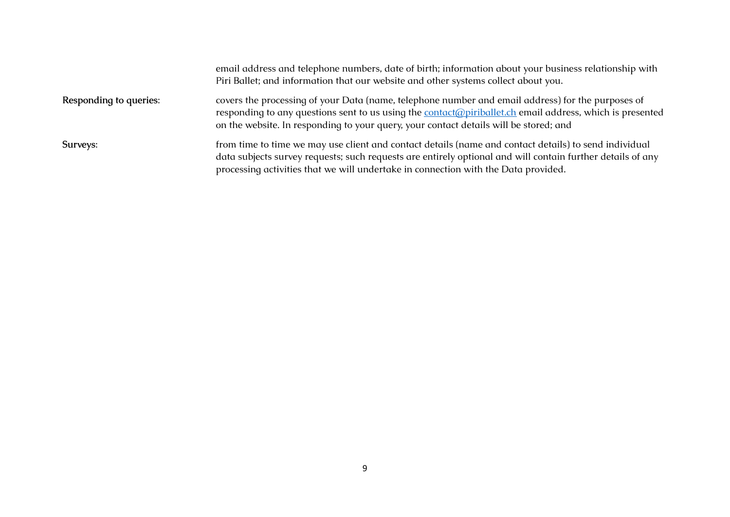|                        | email address and telephone numbers, date of birth; information about your business relationship with<br>Piri Ballet; and information that our website and other systems collect about you.                                                                                                                      |
|------------------------|------------------------------------------------------------------------------------------------------------------------------------------------------------------------------------------------------------------------------------------------------------------------------------------------------------------|
| Responding to queries: | covers the processing of your Data (name, telephone number and email address) for the purposes of<br>responding to any questions sent to us using the <b>contact</b> (appiriballet.ch email address, which is presented<br>on the website. In responding to your query, your contact details will be stored; and |
| Surveys:               | from time to time we may use client and contact details (name and contact details) to send individual<br>data subjects survey requests; such requests are entirely optional and will contain further details of any<br>processing activities that we will undertake in connection with the Data provided.        |